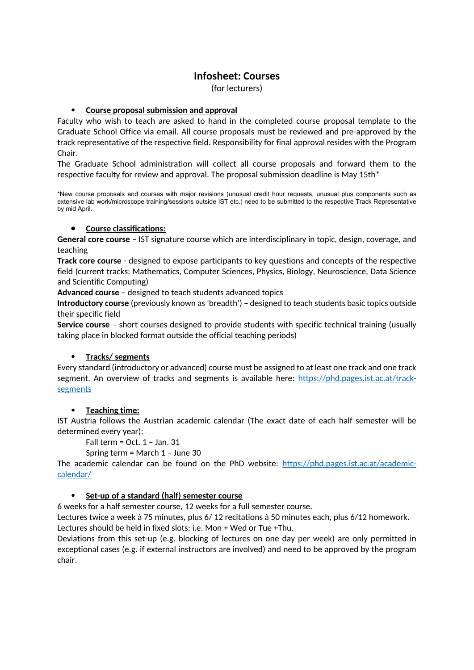# **Infosheet: Courses**

(for lecturers)

## **Course proposal submission and approval**

Faculty who wish to teach are asked to hand in the completed course proposal template to the Graduate School Office via email. All course proposals must be reviewed and pre-approved by the track representative of the respective field. Responsibility for final approval resides with the Program Chair.

The Graduate School administration will collect all course proposals and forward them to the respective faculty for review and approval. The proposal submission deadline is May 15th\*

\*New course proposals and courses with major revisions (unusual credit hour requests, unusual plus components such as extensive lab work/microscope training/sessions outside IST etc.) need to be submitted to the respective Track Representative by mid April.

### **•** Course classifications:

**General core course** – IST signature course which are interdisciplinary in topic, design, coverage, and teaching

**Track core course** - designed to expose participants to key questions and concepts of the respective field (current tracks: Mathematics, Computer Sciences, Physics, Biology, Neuroscience, Data Science and Scientific Computing)

**Advanced course** – designed to teach students advanced topics

**Introductory course** (previously known as 'breadth') – designed to teach students basic topics outside their specific field

**Service course** – short courses designed to provide students with specific technical training (usually taking place in blocked format outside the official teaching periods)

## **Tracks/ segments**

Every standard (introductory or advanced) course must be assigned to at least one track and one track segment. An overview of tracks and segments is available here: [https://phd.pages.ist.ac.at/track](https://phd.pages.ist.ac.at/track-segments)[segments](https://phd.pages.ist.ac.at/track-segments)

## **Teaching time:**

IST Austria follows the Austrian academic calendar (The exact date of each half semester will be determined every year):

Fall term = Oct. 1 – Jan. 31

Spring term = March 1 – June 30

The academic calendar can be found on the PhD website: [https://phd.pages.ist.ac.at/academic](https://phd.pages.ist.ac.at/academic-calendar/)[calendar/](https://phd.pages.ist.ac.at/academic-calendar/)

## **Set-up of a standard (half) semester course**

6 weeks for a half semester course, 12 weeks for a full semester course.

Lectures twice a week à 75 minutes, plus 6/ 12 recitations à 50 minutes each, plus 6/12 homework. Lectures should be held in fixed slots: i.e. Mon + Wed or Tue +Thu.

Deviations from this set-up (e.g. blocking of lectures on one day per week) are only permitted in exceptional cases (e.g. if external instructors are involved) and need to be approved by the program chair.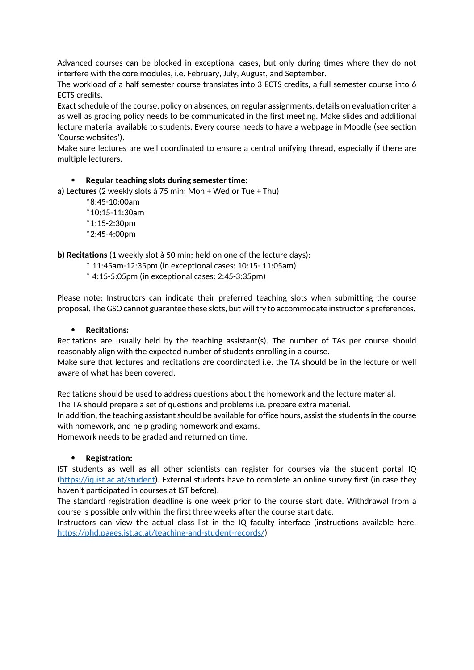Advanced courses can be blocked in exceptional cases, but only during times where they do not interfere with the core modules, i.e. February, July, August, and September.

The workload of a half semester course translates into 3 ECTS credits, a full semester course into 6 ECTS credits.

Exact schedule of the course, policy on absences, on regular assignments, details on evaluation criteria as well as grading policy needs to be communicated in the first meeting. Make slides and additional lecture material available to students. Every course needs to have a webpage in Moodle (see section 'Course websites').

Make sure lectures are well coordinated to ensure a central unifying thread, especially if there are multiple lecturers.

### **Regular teaching slots during semester time:**

**a) Lectures** (2 weekly slots à 75 min: Mon + Wed or Tue + Thu)

\*8:45-10:00am \*10:15-11:30am  $*1:15-2:30$ pm \*2:45-4:00pm

**b) Recitations** (1 weekly slot à 50 min; held on one of the lecture days):

- \* 11:45am-12:35pm (in exceptional cases: 10:15- 11:05am)
- \* 4:15-5:05pm (in exceptional cases: 2:45-3:35pm)

Please note: Instructors can indicate their preferred teaching slots when submitting the course proposal. The GSO cannot guarantee these slots, but will try to accommodate instructor's preferences.

#### **Recitations:**

Recitations are usually held by the teaching assistant(s). The number of TAs per course should reasonably align with the expected number of students enrolling in a course.

Make sure that lectures and recitations are coordinated i.e. the TA should be in the lecture or well aware of what has been covered.

Recitations should be used to address questions about the homework and the lecture material. The TA should prepare a set of questions and problems i.e. prepare extra material.

In addition, the teaching assistant should be available for office hours, assist the students in the course with homework, and help grading homework and exams.

Homework needs to be graded and returned on time.

#### **Registration:**

IST students as well as all other scientists can register for courses via the student portal IQ [\(https://iq.ist.ac.at/student\)](https://iq.ist.ac.at/student). External students have to complete an online survey first (in case they haven't participated in courses at IST before).

The standard registration deadline is one week prior to the course start date. Withdrawal from a course is possible only within the first three weeks after the course start date.

Instructors can view the actual class list in the IQ faculty interface (instructions available here: <https://phd.pages.ist.ac.at/teaching-and-student-records/>)